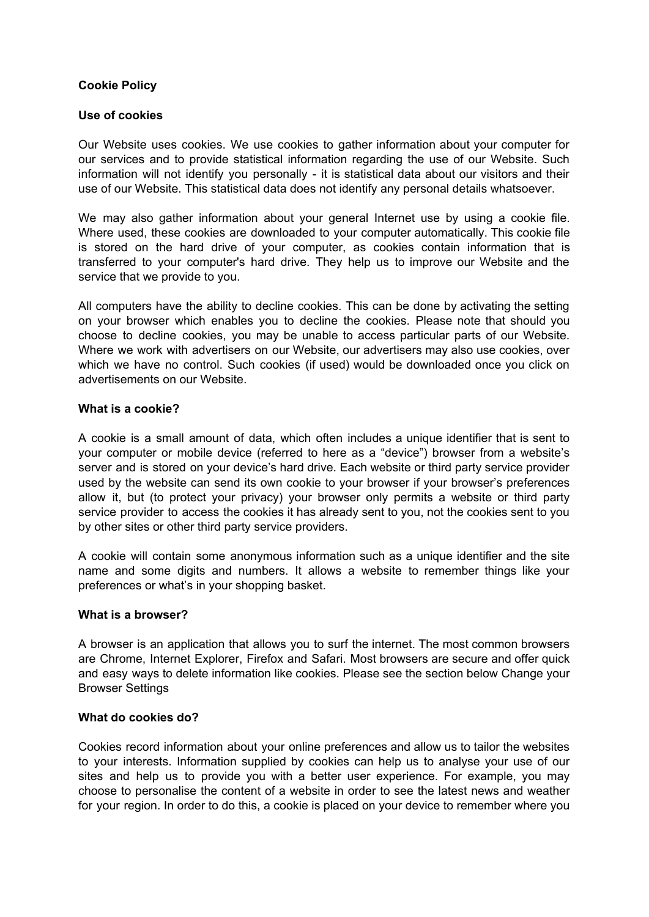# **Cookie Policy**

# **Use of cookies**

Our Website uses cookies. We use cookies to gather information about your computer for our services and to provide statistical information regarding the use of our Website. Such information will not identify you personally - it is statistical data about our visitors and their use of our Website. This statistical data does not identify any personal details whatsoever.

We may also gather information about your general Internet use by using a cookie file. Where used, these cookies are downloaded to your computer automatically. This cookie file is stored on the hard drive of your computer, as cookies contain information that is transferred to your computer's hard drive. They help us to improve our Website and the service that we provide to you.

All computers have the ability to decline cookies. This can be done by activating the setting on your browser which enables you to decline the cookies. Please note that should you choose to decline cookies, you may be unable to access particular parts of our Website. Where we work with advertisers on our Website, our advertisers may also use cookies, over which we have no control. Such cookies (if used) would be downloaded once you click on advertisements on our Website.

### **What is a cookie?**

A cookie is a small amount of data, which often includes a unique identifier that is sent to your computer or mobile device (referred to here as a "device") browser from a website's server and is stored on your device's hard drive. Each website or third party service provider used by the website can send its own cookie to your browser if your browser's preferences allow it, but (to protect your privacy) your browser only permits a website or third party service provider to access the cookies it has already sent to you, not the cookies sent to you by other sites or other third party service providers.

A cookie will contain some anonymous information such as a unique identifier and the site name and some digits and numbers. It allows a website to remember things like your preferences or what's in your shopping basket.

# **What is a browser?**

A browser is an application that allows you to surf the internet. The most common browsers are Chrome, Internet Explorer, Firefox and Safari. Most browsers are secure and offer quick and easy ways to delete information like cookies. Please see the section below Change your Browser Settings

### **What do cookies do?**

Cookies record information about your online preferences and allow us to tailor the websites to your interests. Information supplied by cookies can help us to analyse your use of our sites and help us to provide you with a better user experience. For example, you may choose to personalise the content of a website in order to see the latest news and weather for your region. In order to do this, a cookie is placed on your device to remember where you